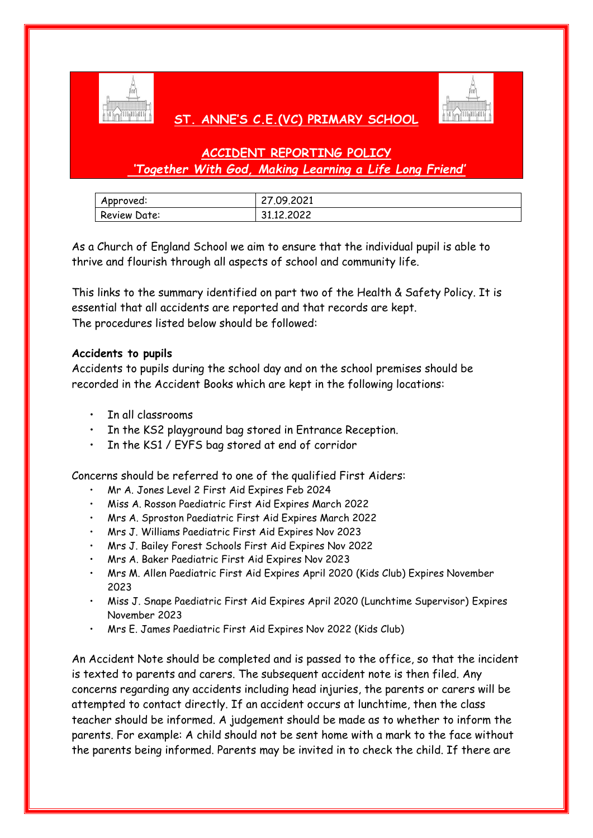

# **ST. ANNE'S C.E.(VC) PRIMARY SCHOOL**



# **ACCIDENT REPORTING POLICY** *'Together With God, Making Learning a Life Long Friend'*

| Approved:    | 27.09.2021 |
|--------------|------------|
| Review Date: | 31.12.2022 |

As a Church of England School we aim to ensure that the individual pupil is able to thrive and flourish through all aspects of school and community life.

This links to the summary identified on part two of the Health & Safety Policy. It is essential that all accidents are reported and that records are kept. The procedures listed below should be followed:

# **Accidents to pupils**

Accidents to pupils during the school day and on the school premises should be recorded in the Accident Books which are kept in the following locations:

- In all classrooms
- In the KS2 playground bag stored in Entrance Reception.
- In the KS1 / EYFS bag stored at end of corridor

Concerns should be referred to one of the qualified First Aiders:

- Mr A. Jones Level 2 First Aid Expires Feb 2024
- Miss A. Rosson Paediatric First Aid Expires March 2022
- Mrs A. Sproston Paediatric First Aid Expires March 2022
- Mrs J. Williams Paediatric First Aid Expires Nov 2023
- Mrs J. Bailey Forest Schools First Aid Expires Nov 2022
- Mrs A. Baker Paediatric First Aid Expires Nov 2023
- Mrs M. Allen Paediatric First Aid Expires April 2020 (Kids Club) Expires November 2023
- Miss J. Snape Paediatric First Aid Expires April 2020 (Lunchtime Supervisor) Expires November 2023
- Mrs E. James Paediatric First Aid Expires Nov 2022 (Kids Club)

An Accident Note should be completed and is passed to the office, so that the incident is texted to parents and carers. The subsequent accident note is then filed. Any concerns regarding any accidents including head injuries, the parents or carers will be attempted to contact directly. If an accident occurs at lunchtime, then the class teacher should be informed. A judgement should be made as to whether to inform the parents. For example: A child should not be sent home with a mark to the face without the parents being informed. Parents may be invited in to check the child. If there are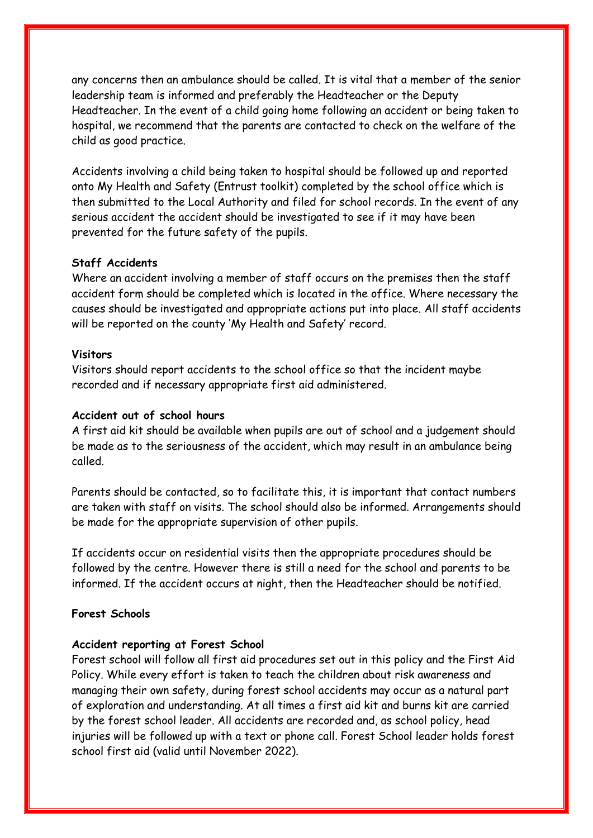any concerns then an ambulance should be called. It is vital that a member of the senior leadership team is informed and preferably the Headteacher or the Deputy Headteacher. In the event of a child going home following an accident or being taken to hospital, we recommend that the parents are contacted to check on the welfare of the child as good practice.

Accidents involving a child being taken to hospital should be followed up and reported onto My Health and Safety (Entrust toolkit) completed by the school office which is then submitted to the Local Authority and filed for school records. In the event of any serious accident the accident should be investigated to see if it may have been prevented for the future safety of the pupils.

### **Staff Accidents**

Where an accident involving a member of staff occurs on the premises then the staff accident form should be completed which is located in the office. Where necessary the causes should be investigated and appropriate actions put into place. All staff accidents will be reported on the county 'My Health and Safety' record.

### **Visitors**

Visitors should report accidents to the school office so that the incident maybe recorded and if necessary appropriate first aid administered.

## **Accident out of school hours**

A first aid kit should be available when pupils are out of school and a judgement should be made as to the seriousness of the accident, which may result in an ambulance being called.

Parents should be contacted, so to facilitate this, it is important that contact numbers are taken with staff on visits. The school should also be informed. Arrangements should be made for the appropriate supervision of other pupils.

If accidents occur on residential visits then the appropriate procedures should be followed by the centre. However there is still a need for the school and parents to be informed. If the accident occurs at night, then the Headteacher should be notified.

## **Forest Schools**

### **Accident reporting at Forest School**

Forest school will follow all first aid procedures set out in this policy and the First Aid Policy. While every effort is taken to teach the children about risk awareness and managing their own safety, during forest school accidents may occur as a natural part of exploration and understanding. At all times a first aid kit and burns kit are carried by the forest school leader. All accidents are recorded and, as school policy, head injuries will be followed up with a text or phone call. Forest School leader holds forest school first aid (valid until November 2022).